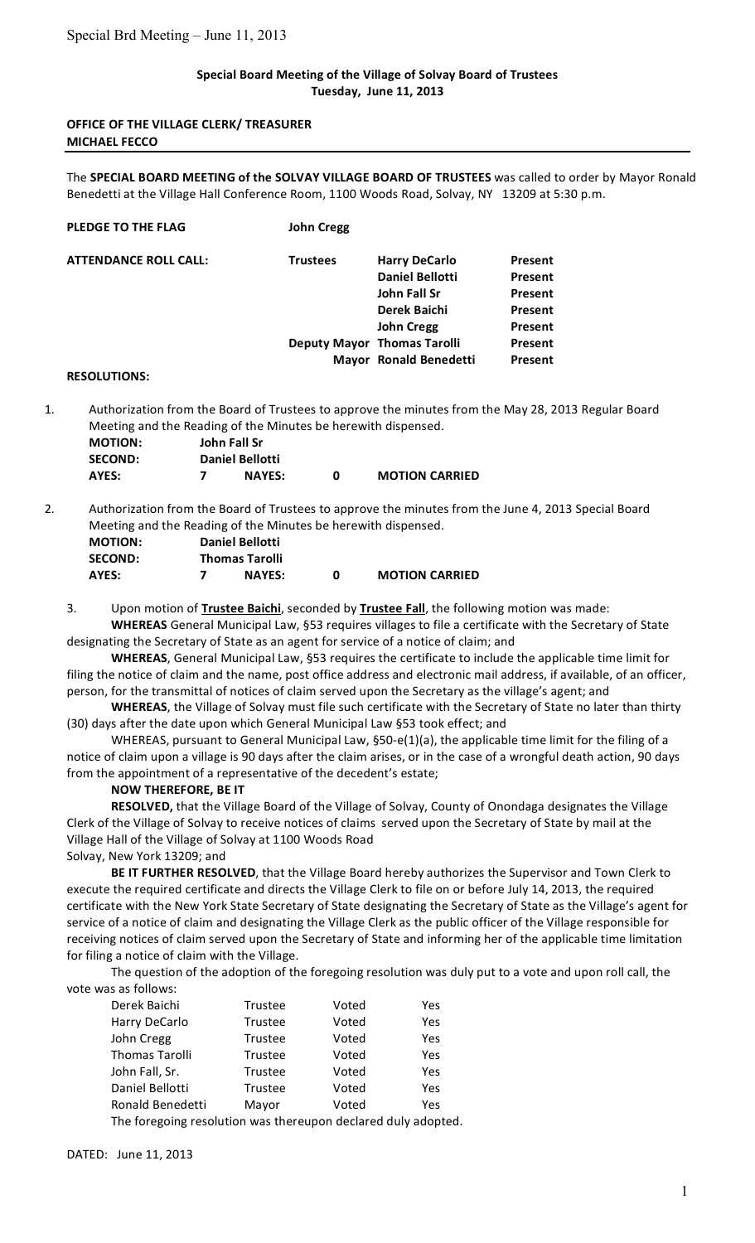## **Special
Board
Meeting
of
the
Village
of
Solvay
Board
of
Trustees Tuesday,

June
11,
2013**

## **OFFICE
OF
THE
VILLAGE
CLERK/
TREASURER MICHAEL
FECCO**

The SPECIAL BOARD MEETING of the SOLVAY VILLAGE BOARD OF TRUSTEES was called to order by Mayor Ronald Benedetti at the Village Hall Conference Room, 1100 Woods Road, Solvay, NY 13209 at 5:30 p.m.

| <b>PLEDGE TO THE FLAG</b>    | <b>John Cregg</b> |                                    |                |
|------------------------------|-------------------|------------------------------------|----------------|
| <b>ATTENDANCE ROLL CALL:</b> | <b>Trustees</b>   | <b>Harry DeCarlo</b>               | <b>Present</b> |
|                              |                   | <b>Daniel Bellotti</b>             | Present        |
|                              |                   | John Fall Sr                       | <b>Present</b> |
|                              |                   | Derek Baichi                       | <b>Present</b> |
|                              |                   | <b>John Cregg</b>                  | Present        |
|                              |                   | <b>Deputy Mayor Thomas Tarolli</b> | Present        |
|                              |                   | Mayor Ronald Benedetti             | <b>Present</b> |
|                              |                   |                                    |                |

#### **RESOLUTIONS:**

1. Authorization from the Board of Trustees to approve the minutes from the May 28, 2013 Regular Board Meeting
and
the
Reading
of
the
Minutes
be
herewith
dispensed.

| <b>MOTION:</b> | John Fall Sr           |   |                       |
|----------------|------------------------|---|-----------------------|
| <b>SECOND:</b> | <b>Daniel Bellotti</b> |   |                       |
| AYES:          | <b>NAYES:</b>          | n | <b>MOTION CARRIED</b> |

2. Authorization from the Board of Trustees to approve the minutes from the June 4, 2013 Special Board Meeting
and
the
Reading
of
the
Minutes
be
herewith
dispensed.

| <b>MOTION:</b> | <b>Daniel Bellotti</b> |   |                       |
|----------------|------------------------|---|-----------------------|
| <b>SECOND:</b> | <b>Thomas Tarolli</b>  |   |                       |
| AYES:          | <b>NAYES:</b>          | n | <b>MOTION CARRIED</b> |

3. Upon motion of **Trustee Baichi**, seconded by **Trustee Fall**, the following motion was made: WHEREAS General Municipal Law, §53 requires villages to file a certificate with the Secretary of State

designating the Secretary of State as an agent for service of a notice of claim; and

WHEREAS, General Municipal Law, §53 requires the certificate to include the applicable time limit for filing the notice of claim and the name, post office address and electronic mail address, if available, of an officer, person, for the transmittal of notices of claim served upon the Secretary as the village's agent; and

WHEREAS, the Village of Solvay must file such certificate with the Secretary of State no later than thirty (30)
days
after
the
date
upon
which
General
Municipal
Law
§53
took
effect;
and

WHEREAS, pursuant to General Municipal Law, §50-e(1)(a), the applicable time limit for the filing of a notice of claim upon a village is 90 days after the claim arises, or in the case of a wrongful death action, 90 days from
the
appointment
of
a
representative
of
the
decedent's
estate;

### **NOW
THEREFORE,
BE
IT**

RESOLVED, that the Village Board of the Village of Solvay, County of Onondaga designates the Village Clerk of the Village of Solvay to receive notices of claims served upon the Secretary of State by mail at the Village Hall of the Village of Solvay at 1100 Woods Road

Solvay,
New
York
13209;
and

BE IT FURTHER RESOLVED, that the Village Board hereby authorizes the Supervisor and Town Clerk to execute the required certificate and directs the Village Clerk to file on or before July 14, 2013, the required certificate with the New York State Secretary of State designating the Secretary of State as the Village's agent for service of a notice of claim and designating the Village Clerk as the public officer of the Village responsible for receiving notices of claim served upon the Secretary of State and informing her of the applicable time limitation for filing a notice of claim with the Village.

The question of the adoption of the foregoing resolution was duly put to a vote and upon roll call, the vote
was
as
follows:

| Derek Baichi          | Trustee        | Voted | Yes |
|-----------------------|----------------|-------|-----|
| Harry DeCarlo         | <b>Trustee</b> | Voted | Yes |
| John Cregg            | Trustee        | Voted | Yes |
| <b>Thomas Tarolli</b> | Trustee        | Voted | Yes |
| John Fall, Sr.        | Trustee        | Voted | Yes |
| Daniel Bellotti       | Trustee        | Voted | Yes |
| Ronald Benedetti      | Mayor          | Voted | Yes |

The foregoing resolution was thereupon declared duly adopted.